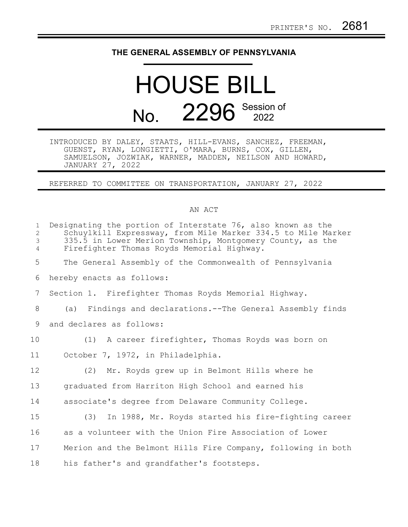## **THE GENERAL ASSEMBLY OF PENNSYLVANIA**

## HOUSE BILL No. 2296 Session of

INTRODUCED BY DALEY, STAATS, HILL-EVANS, SANCHEZ, FREEMAN, GUENST, RYAN, LONGIETTI, O'MARA, BURNS, COX, GILLEN, SAMUELSON, JOZWIAK, WARNER, MADDEN, NEILSON AND HOWARD, JANUARY 27, 2022

REFERRED TO COMMITTEE ON TRANSPORTATION, JANUARY 27, 2022

## AN ACT

| $\mathbf{1}$<br>2<br>3<br>$\overline{4}$ | Designating the portion of Interstate 76, also known as the<br>Schuylkill Expressway, from Mile Marker 334.5 to Mile Marker<br>335.5 in Lower Merion Township, Montgomery County, as the<br>Firefighter Thomas Royds Memorial Highway. |
|------------------------------------------|----------------------------------------------------------------------------------------------------------------------------------------------------------------------------------------------------------------------------------------|
| 5                                        | The General Assembly of the Commonwealth of Pennsylvania                                                                                                                                                                               |
| 6                                        | hereby enacts as follows:                                                                                                                                                                                                              |
| 7                                        | Section 1. Firefighter Thomas Royds Memorial Highway.                                                                                                                                                                                  |
| 8                                        | Findings and declarations.--The General Assembly finds<br>(a)                                                                                                                                                                          |
| 9                                        | and declares as follows:                                                                                                                                                                                                               |
| 10                                       | (1) A career firefighter, Thomas Royds was born on                                                                                                                                                                                     |
| 11                                       | October 7, 1972, in Philadelphia.                                                                                                                                                                                                      |
| 12                                       | (2) Mr. Royds grew up in Belmont Hills where he                                                                                                                                                                                        |
| 13                                       | graduated from Harriton High School and earned his                                                                                                                                                                                     |
| 14                                       | associate's degree from Delaware Community College.                                                                                                                                                                                    |
| 15                                       | In 1988, Mr. Royds started his fire-fighting career<br>(3)                                                                                                                                                                             |
| 16                                       | as a volunteer with the Union Fire Association of Lower                                                                                                                                                                                |
| 17                                       | Merion and the Belmont Hills Fire Company, following in both                                                                                                                                                                           |
| 18                                       | his father's and grandfather's footsteps.                                                                                                                                                                                              |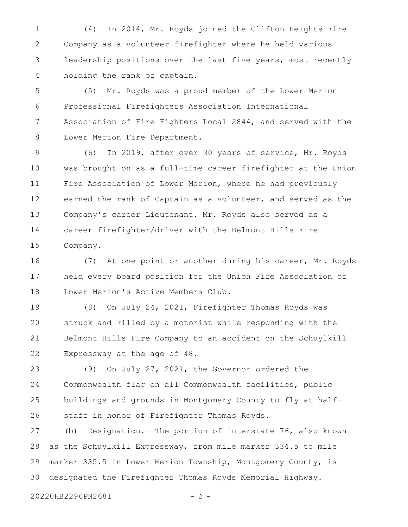(4) In 2014, Mr. Royds joined the Clifton Heights Fire Company as a volunteer firefighter where he held various leadership positions over the last five years, most recently holding the rank of captain. 1 2 3 4

(5) Mr. Royds was a proud member of the Lower Merion Professional Firefighters Association International Association of Fire Fighters Local 2844, and served with the Lower Merion Fire Department. 5 6 7 8

(6) In 2019, after over 30 years of service, Mr. Royds was brought on as a full-time career firefighter at the Union Fire Association of Lower Merion, where he had previously earned the rank of Captain as a volunteer, and served as the Company's career Lieutenant. Mr. Royds also served as a career firefighter/driver with the Belmont Hills Fire Company. 9 10 11 12 13 14 15

(7) At one point or another during his career, Mr. Royds held every board position for the Union Fire Association of Lower Merion's Active Members Club. 16 17 18

(8) On July 24, 2021, Firefighter Thomas Royds was struck and killed by a motorist while responding with the Belmont Hills Fire Company to an accident on the Schuylkill Expressway at the age of 48. 19 20 21 22

(9) On July 27, 2021, the Governor ordered the Commonwealth flag on all Commonwealth facilities, public buildings and grounds in Montgomery County to fly at halfstaff in honor of Firefighter Thomas Royds. 23 24 25 26

(b) Designation.--The portion of Interstate 76, also known as the Schuylkill Expressway, from mile marker 334.5 to mile marker 335.5 in Lower Merion Township, Montgomery County, is designated the Firefighter Thomas Royds Memorial Highway. 27 28 29 30

20220HB2296PN2681 - 2 -